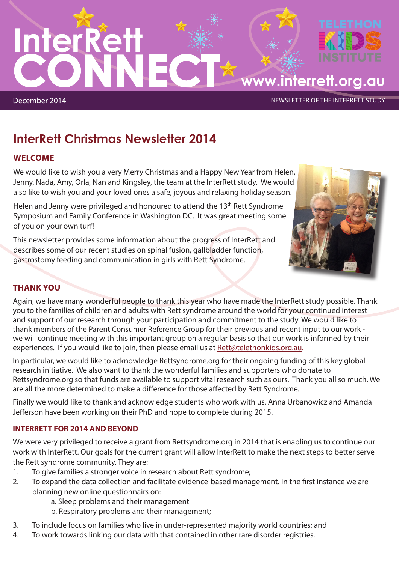

# **InterRett Christmas Newsletter 2014**

## **WELCOME**

We would like to wish you a very Merry Christmas and a Happy New Year from Helen, Jenny, Nada, Amy, Orla, Nan and Kingsley, the team at the InterRett study. We would also like to wish you and your loved ones a safe, joyous and relaxing holiday season.

Helen and Jenny were privileged and honoured to attend the 13<sup>th</sup> Rett Syndrome Symposium and Family Conference in Washington DC. It was great meeting some of you on your own turf!

This newsletter provides some information about the progress of InterRett and describes some of our recent studies on spinal fusion, gallbladder function, gastrostomy feeding and communication in girls with Rett Syndrome.



## **THANK YOU**

Again, we have many wonderful people to thank this year who have made the InterRett study possible. Thank you to the families of children and adults with Rett syndrome around the world for your continued interest and support of our research through your participation and commitment to the study. We would like to thank members of the Parent Consumer Reference Group for their previous and recent input to our work we will continue meeting with this important group on a regular basis so that our work is informed by their experiences. If you would like to join, then please email us at Rett@telethonkids.org.au.

In particular, we would like to acknowledge Rettsyndrome.org for their ongoing funding of this key global research initiative. We also want to thank the wonderful families and supporters who donate to Rettsyndrome.org so that funds are available to support vital research such as ours. Thank you all so much. We are all the more determined to make a difference for those affected by Rett Syndrome.

Finally we would like to thank and acknowledge students who work with us. Anna Urbanowicz and Amanda Jefferson have been working on their PhD and hope to complete during 2015.

## **INTERRETT FOR 2014 AND BEYOND**

We were very privileged to receive a grant from Rettsyndrome.org in 2014 that is enabling us to continue our work with InterRett. Our goals for the current grant will allow InterRett to make the next steps to better serve the Rett syndrome community. They are:

- 1. To give families a stronger voice in research about Rett syndrome;
- 2. To expand the data collection and facilitate evidence-based management. In the first instance we are planning new online questionnairs on:
	- a. Sleep problems and their management
	- b. Respiratory problems and their management;
- 3. To include focus on families who live in under-represented majority world countries; and
- 4. To work towards linking our data with that contained in other rare disorder registries.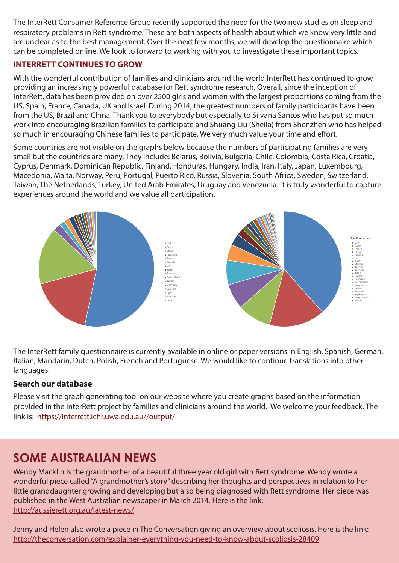The InterRett Consumer Reference Group recently supported the need for the two new studies on sleep and respiratory problems in Rett syndrome. These are both aspects of health about which we know very little and are unclear as to the best management. Over the next few months, we will develop the questionnaire which can be completed online. We look to forward to working with you to investigate these important topics.

## **INTERRETT CONTINUES TO GROW**

With the wonderful contribution of families and clinicians around the world InterRett has continued to grow providing an increasingly powerful database for Rett syndrome research. Overall, since the inception of InterRett, data has been provided on over 2500 girls and women with the largest proportions coming from the US, Spain, France, Canada, UK and Israel. During 2014, the greatest numbers of family participants have been from the US, Brazil and China. Thank you to everybody but especially to Silvana Santos who has put so much work into encouraging Brazilian families to participate and Shuang Liu (Sheila) from Shenzhen who has helped so much in encouraging Chinese families to participate. We very much value your time and effort.

Some countries are not visible on the graphs below because the numbers of participating families are very small but the countries are many. They include: Belarus, Bolivia, Bulgaria, Chile, Colombia, Costa Rica, Croatia, Cyprus, Denmark, Dominican Republic, Finland, Honduras, Hungary, India, Iran, Italy, Japan, Luxembourg, Macedonia, Malta, Norway, Peru, Portugal, Puerto Rico, Russia, Slovenia, South Africa, Sweden, Switzerland, Taiwan, The Netherlands, Turkey, United Arab Emirates, Uruguay and Venezuela. It is truly wonderful to capture experiences around the world and we value all participation.



The InterRett family questionnaire is currently available in online or paper versions in English, Spanish, German, Italian, Mandarin, Dutch, Polish, French and Portuguese. We would like to continue translations into other languages.

## **Search our database**

Please visit the graph generating tool on our website where you create graphs based on the information provided in the InterRett project by families and clinicians around the world. We welcome your feedback. The link is: https://interrett.ichr.uwa.edu.au//output/

## **SOME AUSTRALIAN NEWS**

Wendy Macklin is the grandmother of a beautiful three year old girl with Rett syndrome. Wendy wrote a wonderful piece called "A grandmother's story" describing her thoughts and perspectives in relation to her little granddaughter growing and developing but also being diagnosed with Rett syndrome. Her piece was published in the West Australian newspaper in March 2014. Here is the link: http://aussierett.org.au/latest-news/

Jenny and Helen also wrote a piece in The Conversation giving an overview about scoliosis. Here is the link: http://theconversation.com/explainer-everything-you-need-to-know-about-scoliosis-28409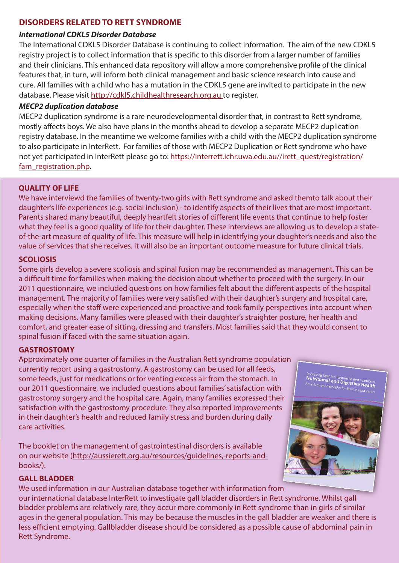#### **DISORDERS RELATED TO RETT SYNDROME**

#### *International CDKL5 Disorder Database*

The International CDKL5 Disorder Database is continuing to collect information. The aim of the new CDKL5 registry project is to collect information that is specific to this disorder from a larger number of families and their clinicians. This enhanced data repository will allow a more comprehensive profile of the clinical features that, in turn, will inform both clinical management and basic science research into cause and cure. All families with a child who has a mutation in the CDKL5 gene are invited to participate in the new database. Please visit http://cdkl5.childhealthresearch.org.au to register.

#### *MECP2 duplication database*

MECP2 duplication syndrome is a rare neurodevelopmental disorder that, in contrast to Rett syndrome, mostly affects boys. We also have plans in the months ahead to develop a separate MECP2 duplication registry database. In the meantime we welcome families with a child with the MECP2 duplication syndrome to also participate in InterRett. For families of those with MECP2 Duplication or Rett syndrome who have not yet participated in InterRett please go to: https://interrett.ichr.uwa.edu.au//irett\_quest/registration/ fam registration.php.

#### **QUALITY OF LIFE**

We have interviewd the families of twenty-two girls with Rett syndrome and asked themto talk about their daughter's life experiences (e.g. social inclusion) - to identify aspects of their lives that are most important. Parents shared many beautiful, deeply heartfelt stories of different life events that continue to help foster what they feel is a good quality of life for their daughter. These interviews are allowing us to develop a stateof-the-art measure of quality of life. This measure will help in identifying your daughter's needs and also the value of services that she receives. It will also be an important outcome measure for future clinical trials.

#### **SCOLIOSIS**

Some girls develop a severe scoliosis and spinal fusion may be recommended as management. This can be a difficult time for families when making the decision about whether to proceed with the surgery. In our 2011 questionnaire, we included questions on how families felt about the different aspects of the hospital management. The majority of families were very satisfied with their daughter's surgery and hospital care, especially when the staff were experienced and proactive and took family perspectives into account when making decisions. Many families were pleased with their daughter's straighter posture, her health and comfort, and greater ease of sitting, dressing and transfers. Most families said that they would consent to spinal fusion if faced with the same situation again.

#### **GASTROSTOMY**

Approximately one quarter of families in the Australian Rett syndrome population currently report using a gastrostomy. A gastrostomy can be used for all feeds, some feeds, just for medications or for venting excess air from the stomach. In our 2011 questionnaire, we included questions about families' satisfaction with gastrostomy surgery and the hospital care. Again, many families expressed their satisfaction with the gastrostomy procedure. They also reported improvements in their daughter's health and reduced family stress and burden during daily care activities.

The booklet on the management of gastrointestinal disorders is available on our website (http://aussierett.org.au/resources/guidelines,-reports-andbooks/).

#### **GALL BLADDER**

We used information in our Australian database together with information from our international database InterRett to investigate gall bladder disorders in Rett syndrome. Whilst gall bladder problems are relatively rare, they occur more commonly in Rett syndrome than in girls of similar ages in the general population. This may be because the muscles in the gall bladder are weaker and there is less efficient emptying. Gallbladder disease should be considered as a possible cause of abdominal pain in Rett Syndrome.



<sup>Improving health outcome:<br>**Nutritional and Dig**i<br><sup>\n inform</sub></sup></sup>